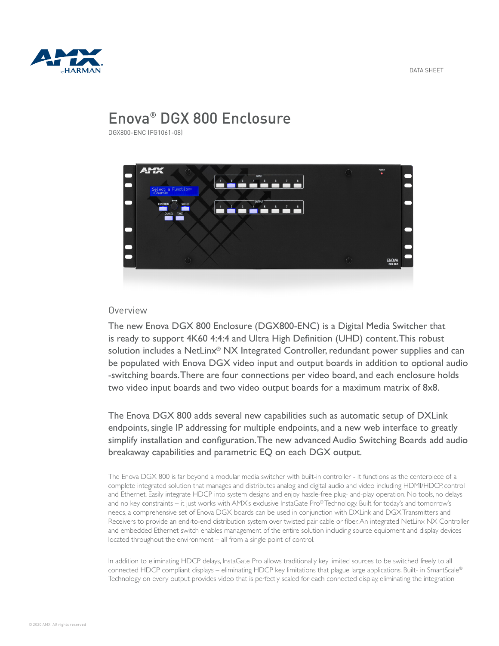

# Enova® DGX 800 Enclosure

DGX800-ENC (FG1061-08)



## Overview

The new Enova DGX 800 Enclosure (DGX800-ENC) is a Digital Media Switcher that is ready to support 4K60 4:4:4 and Ultra High Definition (UHD) content. This robust solution includes a NetLinx® NX Integrated Controller, redundant power supplies and can be populated with Enova DGX video input and output boards in addition to optional audio -switching boards. There are four connections per video board, and each enclosure holds two video input boards and two video output boards for a maximum matrix of 8x8.

The Enova DGX 800 adds several new capabilities such as automatic setup of DXLink endpoints, single IP addressing for multiple endpoints, and a new web interface to greatly simplify installation and configuration. The new advanced Audio Switching Boards add audio breakaway capabilities and parametric EQ on each DGX output.

The Enova DGX 800 is far beyond a modular media switcher with built-in controller - it functions as the centerpiece of a complete integrated solution that manages and distributes analog and digital audio and video including HDMI/HDCP, control and Ethernet. Easily integrate HDCP into system designs and enjoy hassle-free plug- and-play operation. No tools, no delays and no key constraints – it just works with AMX's exclusive InstaGate Pro® Technology. Built for today's and tomorrow's needs, a comprehensive set of Enova DGX boards can be used in conjunction with DXLink and DGX Transmitters and Receivers to provide an end-to-end distribution system over twisted pair cable or fiber. An integrated NetLinx NX Controller and embedded Ethernet switch enables management of the entire solution including source equipment and display devices located throughout the environment – all from a single point of control.

In addition to eliminating HDCP delays, InstaGate Pro allows traditionally key limited sources to be switched freely to all connected HDCP compliant displays – eliminating HDCP key limitations that plague large applications. Built- in SmartScale® Technology on every output provides video that is perfectly scaled for each connected display, eliminating the integration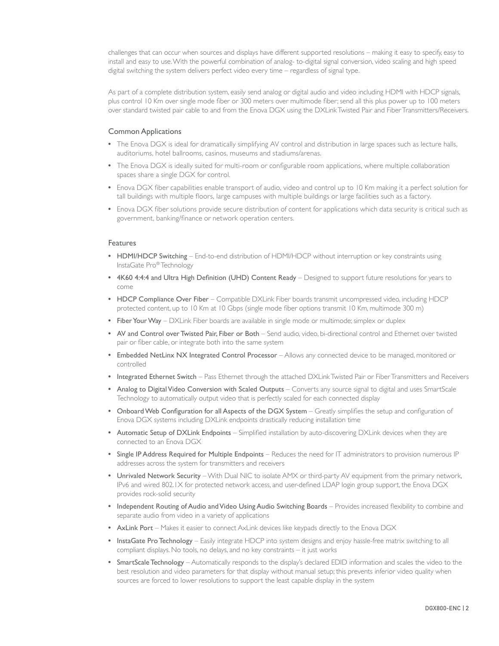challenges that can occur when sources and displays have different supported resolutions – making it easy to specify, easy to install and easy to use. With the powerful combination of analog- to-digital signal conversion, video scaling and high speed digital switching the system delivers perfect video every time – regardless of signal type.

As part of a complete distribution system, easily send analog or digital audio and video including HDMI with HDCP signals, plus control 10 Km over single mode fiber or 300 meters over multimode fiber; send all this plus power up to 100 meters over standard twisted pair cable to and from the Enova DGX using the DXLink Twisted Pair and Fiber Transmitters/Receivers.

### Common Applications

- The Enova DGX is ideal for dramatically simplifying AV control and distribution in large spaces such as lecture halls, auditoriums, hotel ballrooms, casinos, museums and stadiums/arenas.
- The Enova DGX is ideally suited for multi-room or configurable room applications, where multiple collaboration spaces share a single DGX for control.
- Enova DGX fiber capabilities enable transport of audio, video and control up to 10 Km making it a perfect solution for tall buildings with multiple floors, large campuses with multiple buildings or large facilities such as a factory.
- Enova DGX fiber solutions provide secure distribution of content for applications which data security is critical such as government, banking/finance or network operation centers.

#### Features

- HDMI/HDCP Switching End-to-end distribution of HDMI/HDCP without interruption or key constraints using InstaGate Pro® Technology
- 4K60 4:4:4 and Ultra High Definition (UHD) Content Ready Designed to support future resolutions for years to come
- HDCP Compliance Over Fiber Compatible DXLink Fiber boards transmit uncompressed video, including HDCP protected content, up to 10 Km at 10 Gbps (single mode fiber options transmit 10 Km, multimode 300 m)
- Fiber Your Way DXLink Fiber boards are available in single mode or multimode; simplex or duplex
- AV and Control over Twisted Pair, Fiber or Both Send audio, video, bi-directional control and Ethernet over twisted pair or fiber cable, or integrate both into the same system
- Embedded NetLinx NX Integrated Control Processor Allows any connected device to be managed, monitored or controlled
- Integrated Ethernet Switch Pass Ethernet through the attached DXLink Twisted Pair or Fiber Transmitters and Receivers
- Analog to Digital Video Conversion with Scaled Outputs Converts any source signal to digital and uses SmartScale Technology to automatically output video that is perfectly scaled for each connected display
- Onboard Web Configuration for all Aspects of the DGX System Greatly simplifies the setup and configuration of Enova DGX systems including DXLink endpoints drastically reducing installation time
- Automatic Setup of DXLink Endpoints Simplified installation by auto-discovering DXLink devices when they are connected to an Enova DGX
- Single IP Address Required for Multiple Endpoints Reduces the need for IT administrators to provision numerous IP addresses across the system for transmitters and receivers
- Unrivaled Network Security With Dual NIC to isolate AMX or third-party AV equipment from the primary network, IPv6 and wired 802.1X for protected network access, and user-defined LDAP login group support, the Enova DGX provides rock-solid security
- Independent Routing of Audio and Video Using Audio Switching Boards Provides increased flexibility to combine and separate audio from video in a variety of applications
- AxLink Port Makes it easier to connect AxLink devices like keypads directly to the Enova DGX
- InstaGate Pro Technology Easily integrate HDCP into system designs and enjoy hassle-free matrix switching to all compliant displays. No tools, no delays, and no key constraints – it just works
- SmartScale Technology Automatically responds to the display's declared EDID information and scales the video to the best resolution and video parameters for that display without manual setup; this prevents inferior video quality when sources are forced to lower resolutions to support the least capable display in the system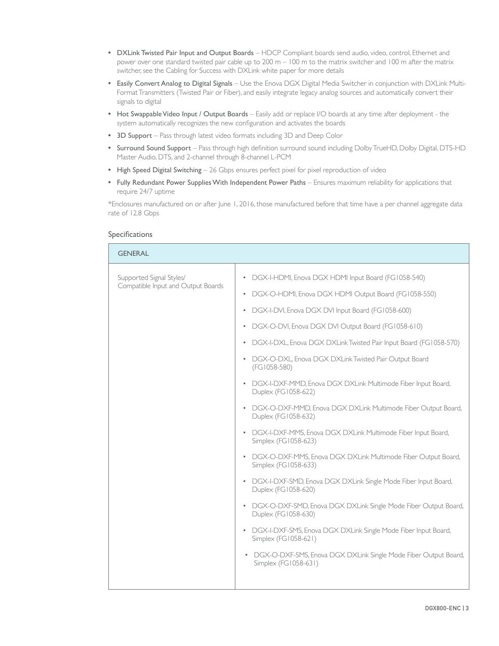- DXLink Twisted Pair Input and Output Boards HDCP Compliant boards send audio, video, control, Ethernet and power over one standard twisted pair cable up to 200 m – 100 m to the matrix switcher and 100 m after the matrix switcher, see the Cabling for Success with DXLink white paper for more details
- Easily Convert Analog to Digital Signals Use the Enova DGX Digital Media Switcher in conjunction with DXLink Multi-Format Transmitters (Twisted Pair or Fiber), and easily integrate legacy analog sources and automatically convert their signals to digital
- Hot Swappable Video Input / Output Boards Easily add or replace I/O boards at any time after deployment the system automatically recognizes the new configuration and activates the boards
- 3D Support Pass through latest video formats including 3D and Deep Color
- Surround Sound Support Pass through high definition surround sound including Dolby TrueHD, Dolby Digital, DTS-HD Master Audio, DTS, and 2-channel through 8-channel L-PCM
- High Speed Digital Switching 26 Gbps ensures perfect pixel for pixel reproduction of video
- Fully Redundant Power Supplies With Independent Power Paths Ensures maximum reliability for applications that require 24/7 uptime

\*Enclosures manufactured on or after June 1, 2016, those manufactured before that time have a per channel aggregate data rate of 12.8 Gbps

#### Specifications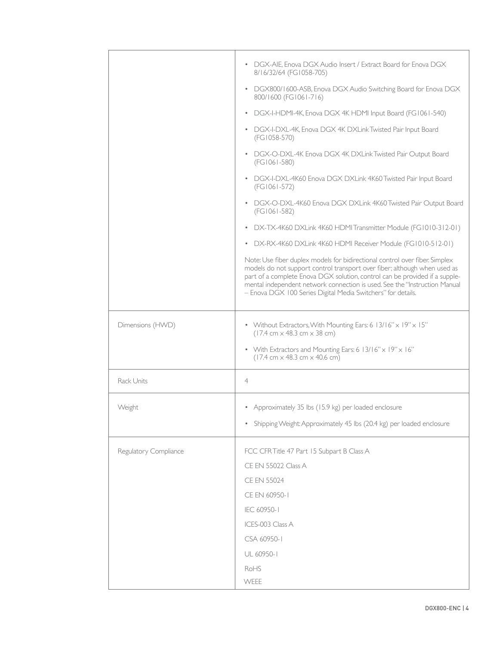|                       | • DGX-AIE, Enova DGX Audio Insert / Extract Board for Enova DGX<br>8/16/32/64 (FG1058-705)                                                                                                                                                                                                                                                                                            |
|-----------------------|---------------------------------------------------------------------------------------------------------------------------------------------------------------------------------------------------------------------------------------------------------------------------------------------------------------------------------------------------------------------------------------|
|                       | DGX800/1600-ASB, Enova DGX Audio Switching Board for Enova DGX<br>$\bullet$<br>800/1600 (FG1061-716)                                                                                                                                                                                                                                                                                  |
|                       | DGX-I-HDMI-4K, Enova DGX 4K HDMI Input Board (FG1061-540)                                                                                                                                                                                                                                                                                                                             |
|                       | • DGX-I-DXL-4K, Enova DGX 4K DXLink Twisted Pair Input Board<br>(FG1058-570)                                                                                                                                                                                                                                                                                                          |
|                       | DGX-O-DXL-4K Enova DGX 4K DXLink Twisted Pair Output Board<br>$\bullet$<br>(FG1061-580)                                                                                                                                                                                                                                                                                               |
|                       | DGX-I-DXL-4K60 Enova DGX DXLink 4K60 Twisted Pair Input Board<br>(FG1061-572)                                                                                                                                                                                                                                                                                                         |
|                       | DGX-O-DXL-4K60 Enova DGX DXLink 4K60 Twisted Pair Output Board<br>$\bullet$<br>(FG1061-582)                                                                                                                                                                                                                                                                                           |
|                       | • DX-TX-4K60 DXLink 4K60 HDMI Transmitter Module (FG1010-312-01)                                                                                                                                                                                                                                                                                                                      |
|                       | • DX-RX-4K60 DXLink 4K60 HDMI Receiver Module (FG1010-512-01)                                                                                                                                                                                                                                                                                                                         |
|                       | Note: Use fiber duplex models for bidirectional control over fiber. Simplex<br>models do not support control transport over fiber; although when used as<br>part of a complete Enova DGX solution, control can be provided if a supple-<br>mental independent network connection is used. See the "Instruction Manual<br>- Enova DGX 100 Series Digital Media Switchers" for details. |
| Dimensions (HWD)      | • Without Extractors, With Mounting Ears: 6 13/16" x 19" x 15"<br>$(17.4 \text{ cm} \times 48.3 \text{ cm} \times 38 \text{ cm})$                                                                                                                                                                                                                                                     |
|                       | • With Extractors and Mounting Ears: 6 13/16" x 19" x 16"<br>$(17.4 \text{ cm} \times 48.3 \text{ cm} \times 40.6 \text{ cm})$                                                                                                                                                                                                                                                        |
| Rack Units            | $\overline{4}$                                                                                                                                                                                                                                                                                                                                                                        |
| Weight                | • Approximately 35 lbs (15.9 kg) per loaded enclosure                                                                                                                                                                                                                                                                                                                                 |
|                       | Shipping Weight: Approximately 45 lbs (20.4 kg) per loaded enclosure<br>$\bullet$                                                                                                                                                                                                                                                                                                     |
|                       |                                                                                                                                                                                                                                                                                                                                                                                       |
| Regulatory Compliance | FCC CFR Title 47 Part 15 Subpart B Class A                                                                                                                                                                                                                                                                                                                                            |
|                       | CE EN 55022 Class A                                                                                                                                                                                                                                                                                                                                                                   |
|                       | <b>CE EN 55024</b>                                                                                                                                                                                                                                                                                                                                                                    |
|                       | CE EN 60950-1                                                                                                                                                                                                                                                                                                                                                                         |
|                       | IEC 60950-1                                                                                                                                                                                                                                                                                                                                                                           |
|                       | ICES-003 Class A                                                                                                                                                                                                                                                                                                                                                                      |
|                       | CSA 60950-1                                                                                                                                                                                                                                                                                                                                                                           |
|                       | UL 60950-1                                                                                                                                                                                                                                                                                                                                                                            |
|                       | RoHS                                                                                                                                                                                                                                                                                                                                                                                  |
|                       | WEEE                                                                                                                                                                                                                                                                                                                                                                                  |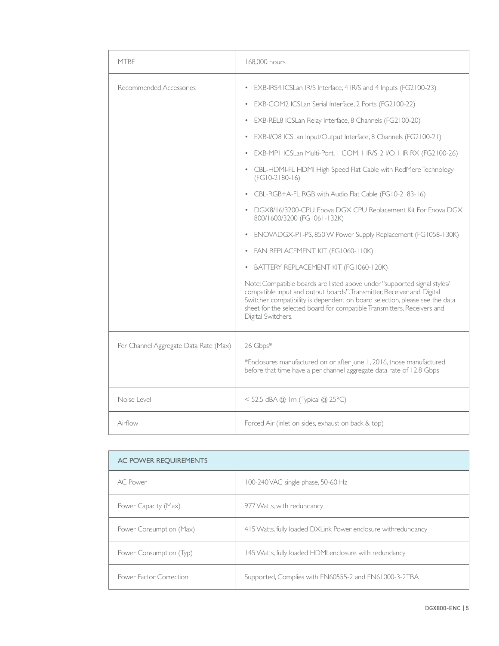| <b>MTBF</b>                           | 168,000 hours                                                                                                                                                                                                                                                                                                                                                                                                                                                                                                                                                                                                                                                                                                                                                                                                                                                                                                                                                                                                                                                                                                                                                                   |
|---------------------------------------|---------------------------------------------------------------------------------------------------------------------------------------------------------------------------------------------------------------------------------------------------------------------------------------------------------------------------------------------------------------------------------------------------------------------------------------------------------------------------------------------------------------------------------------------------------------------------------------------------------------------------------------------------------------------------------------------------------------------------------------------------------------------------------------------------------------------------------------------------------------------------------------------------------------------------------------------------------------------------------------------------------------------------------------------------------------------------------------------------------------------------------------------------------------------------------|
| Recommended Accessories               | EXB-IRS4 ICSLan IR/S Interface, 4 IR/S and 4 Inputs (FG2100-23)<br>$\bullet$<br>EXB-COM2 ICSLan Serial Interface, 2 Ports (FG2100-22)<br>$\bullet$<br>EXB-REL8 ICSLan Relay Interface, 8 Channels (FG2100-20)<br>$\bullet$<br>EXB-I/O8 ICSLan Input/Output Interface, 8 Channels (FG2100-21)<br>$\bullet$<br>EXB-MPI ICSLan Multi-Port, I COM, I IRVS, 2 I/O, I IR RX (FG2100-26)<br>CBL-HDMI-FL HDMI High Speed Flat Cable with RedMere Technology<br>$\bullet$<br>$(FG10-2180-16)$<br>CBL-RGB+A-FL RGB with Audio Flat Cable (FG10-2183-16)<br>۰<br>• DGX8/16/3200-CPU, Enova DGX CPU Replacement Kit For Enova DGX<br>800/1600/3200 (FG1061-132K)<br>ENOVADGX-PI-PS, 850 W Power Supply Replacement (FG1058-130K)<br>$\bullet$<br>FAN REPLACEMENT KIT (FG1060-110K)<br>$\bullet$<br>BATTERY REPLACEMENT KIT (FG1060-120K)<br>$\bullet$<br>Note: Compatible boards are listed above under "supported signal styles/<br>compatible input and output boards". Transmitter, Receiver and Digital<br>Switcher compatibility is dependent on board selection, please see the data<br>sheet for the selected board for compatible Transmitters, Receivers and<br>Digital Switchers. |
| Per Channel Aggregate Data Rate (Max) | 26 Gbps*<br>*Enclosures manufactured on or after June 1, 2016, those manufactured<br>before that time have a per channel aggregate data rate of 12.8 Gbps                                                                                                                                                                                                                                                                                                                                                                                                                                                                                                                                                                                                                                                                                                                                                                                                                                                                                                                                                                                                                       |
| Noise Level                           | < 52.5 dBA @ 1m (Typical @ 25°C)                                                                                                                                                                                                                                                                                                                                                                                                                                                                                                                                                                                                                                                                                                                                                                                                                                                                                                                                                                                                                                                                                                                                                |
| Airflow                               | Forced Air (inlet on sides, exhaust on back & top)                                                                                                                                                                                                                                                                                                                                                                                                                                                                                                                                                                                                                                                                                                                                                                                                                                                                                                                                                                                                                                                                                                                              |

| AC POWER REQUIREMENTS   |                                                               |
|-------------------------|---------------------------------------------------------------|
| AC Power                | 100-240 VAC single phase, 50-60 Hz                            |
| Power Capacity (Max)    | 977 Watts, with redundancy                                    |
| Power Consumption (Max) | 415 Watts, fully loaded DXLink Power enclosure withredundancy |
| Power Consumption (Typ) | 145 Watts, fully loaded HDMI enclosure with redundancy        |
| Power Factor Correction | Supported, Complies with EN60555-2 and EN61000-3-2TBA         |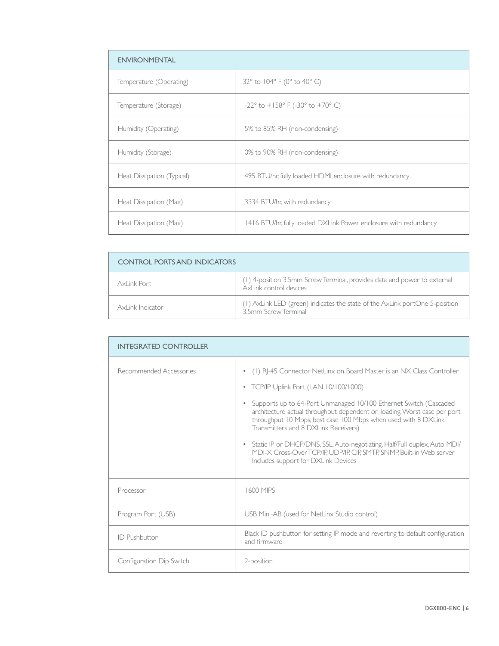| <b>ENVIRONMENTAL</b>       |                                                                  |
|----------------------------|------------------------------------------------------------------|
| Temperature (Operating)    | 32° to 104° F (0° to 40° C)                                      |
| Temperature (Storage)      | $-22^{\circ}$ to $+158^{\circ}$ F (-30° to +70° C)               |
| Humidity (Operating)       | 5% to 85% RH (non-condensing)                                    |
| Humidity (Storage)         | 0% to 90% RH (non-condensing)                                    |
| Heat Dissipation (Typical) | 495 BTU/hr, fully loaded HDMI enclosure with redundancy          |
| Heat Dissipation (Max)     | 3334 BTU/hr, with redundancy                                     |
| Heat Dissipation (Max)     | 1416 BTU/hr, fully loaded DXLink Power enclosure with redundancy |

| <b>CONTROL PORTS AND INDICATORS</b> |                                                                                                     |
|-------------------------------------|-----------------------------------------------------------------------------------------------------|
| AxLink Port                         | (1) 4-position 3.5mm Screw Terminal, provides data and power to external<br>AxLink control devices  |
| Axl ink Indicator                   | (1) AxLink LED (green) indicates the state of the AxLink portOne 5-position<br>3.5mm Screw Terminal |

| <b>INTEGRATED CONTROLLER</b> |                                                                                                                                                                                                                                                                                                                                                                                                                                                                                                                                                                                            |
|------------------------------|--------------------------------------------------------------------------------------------------------------------------------------------------------------------------------------------------------------------------------------------------------------------------------------------------------------------------------------------------------------------------------------------------------------------------------------------------------------------------------------------------------------------------------------------------------------------------------------------|
| Recommended Accessories      | • (1) RJ-45 Connector, NetLinx on Board Master is an NX Class Controller<br>TCP/IP Uplink Port (LAN 10/100/1000)<br>۰<br>Supports up to 64-Port Unmanaged 10/100 Ethernet Switch (Cascaded<br>architecture actual throughput dependent on loading. Worst case per port<br>throughput 10 Mbps, best case 100 Mbps when used with 8 DXLink<br>Transmitters and 8 DXLink Receivers)<br>Static IP or DHCP/DNS, SSL, Auto-negotiating, Half/Full duplex, Auto MDI/<br>$\bullet$<br>MDI-X Cross-Over TCP/IP, UDP/IP, CIP, SMTP, SNMP, Built-in Web server<br>Includes support for DXLink Devices |
| Processor                    | 1600 MIPS                                                                                                                                                                                                                                                                                                                                                                                                                                                                                                                                                                                  |
| Program Port (USB)           | USB Mini-AB (used for NetLinx Studio control)                                                                                                                                                                                                                                                                                                                                                                                                                                                                                                                                              |
| <b>ID</b> Pushbutton         | Black ID pushbutton for setting IP mode and reverting to default configuration<br>and firmware                                                                                                                                                                                                                                                                                                                                                                                                                                                                                             |
| Configuration Dip Switch     | 2-position                                                                                                                                                                                                                                                                                                                                                                                                                                                                                                                                                                                 |